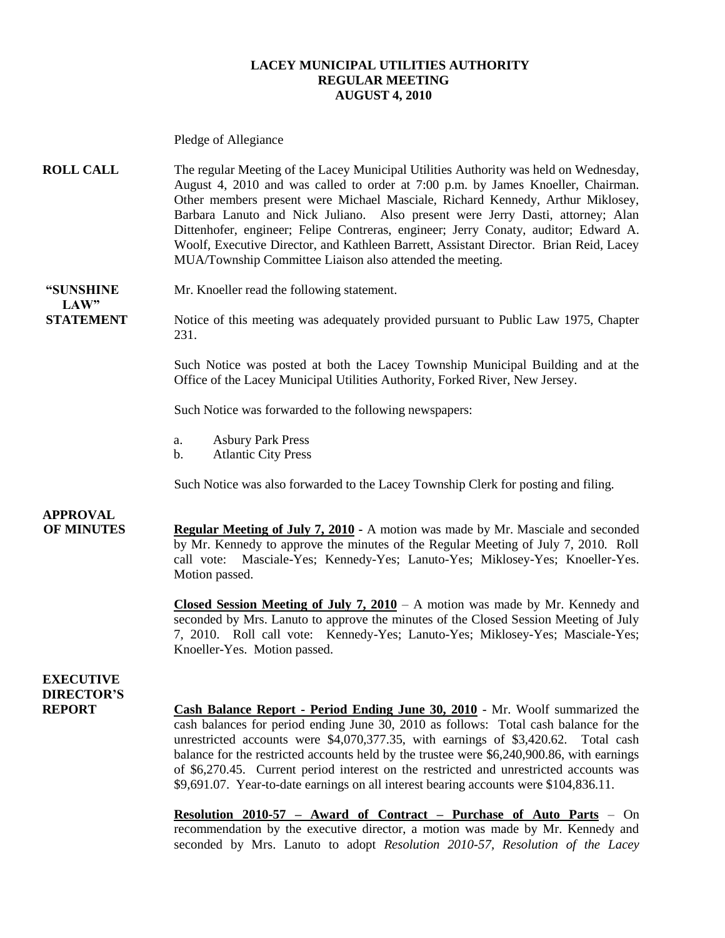#### **LACEY MUNICIPAL UTILITIES AUTHORITY REGULAR MEETING AUGUST 4, 2010**

Pledge of Allegiance **ROLL CALL** The regular Meeting of the Lacey Municipal Utilities Authority was held on Wednesday, August 4, 2010 and was called to order at 7:00 p.m. by James Knoeller, Chairman. Other members present were Michael Masciale, Richard Kennedy, Arthur Miklosey, Barbara Lanuto and Nick Juliano. Also present were Jerry Dasti, attorney; Alan Dittenhofer, engineer; Felipe Contreras, engineer; Jerry Conaty, auditor; Edward A. Woolf, Executive Director, and Kathleen Barrett, Assistant Director. Brian Reid, Lacey MUA/Township Committee Liaison also attended the meeting. **"SUNSHINE** Mr. Knoeller read the following statement.  $LAW"$ **STATEMENT** Notice of this meeting was adequately provided pursuant to Public Law 1975, Chapter 231. Such Notice was posted at both the Lacey Township Municipal Building and at the Office of the Lacey Municipal Utilities Authority, Forked River, New Jersey. Such Notice was forwarded to the following newspapers: a. Asbury Park Press b. Atlantic City Press Such Notice was also forwarded to the Lacey Township Clerk for posting and filing. **APPROVAL OF MINUTES Regular Meeting of July 7, 2010 -** A motion was made by Mr. Masciale and seconded by Mr. Kennedy to approve the minutes of the Regular Meeting of July 7, 2010. Roll call vote: Masciale-Yes; Kennedy-Yes; Lanuto-Yes; Miklosey-Yes; Knoeller-Yes. Motion passed. **Closed Session Meeting of July 7, 2010** – A motion was made by Mr. Kennedy and seconded by Mrs. Lanuto to approve the minutes of the Closed Session Meeting of July 7, 2010. Roll call vote: Kennedy-Yes; Lanuto-Yes; Miklosey-Yes; Masciale-Yes; Knoeller-Yes. Motion passed. **EXECUTIVE DIRECTOR'S REPORT Cash Balance Report - Period Ending June 30, 2010** - Mr. Woolf summarized the cash balances for period ending June 30, 2010 as follows: Total cash balance for the unrestricted accounts were \$4,070,377.35, with earnings of \$3,420.62. Total cash balance for the restricted accounts held by the trustee were \$6,240,900.86, with earnings of \$6,270.45. Current period interest on the restricted and unrestricted accounts was \$9,691.07. Year-to-date earnings on all interest bearing accounts were \$104,836.11. **Resolution 2010-57 – Award of Contract – Purchase of Auto Parts** – On recommendation by the executive director, a motion was made by Mr. Kennedy and seconded by Mrs. Lanuto to adopt *Resolution 2010-57, Resolution of the Lacey*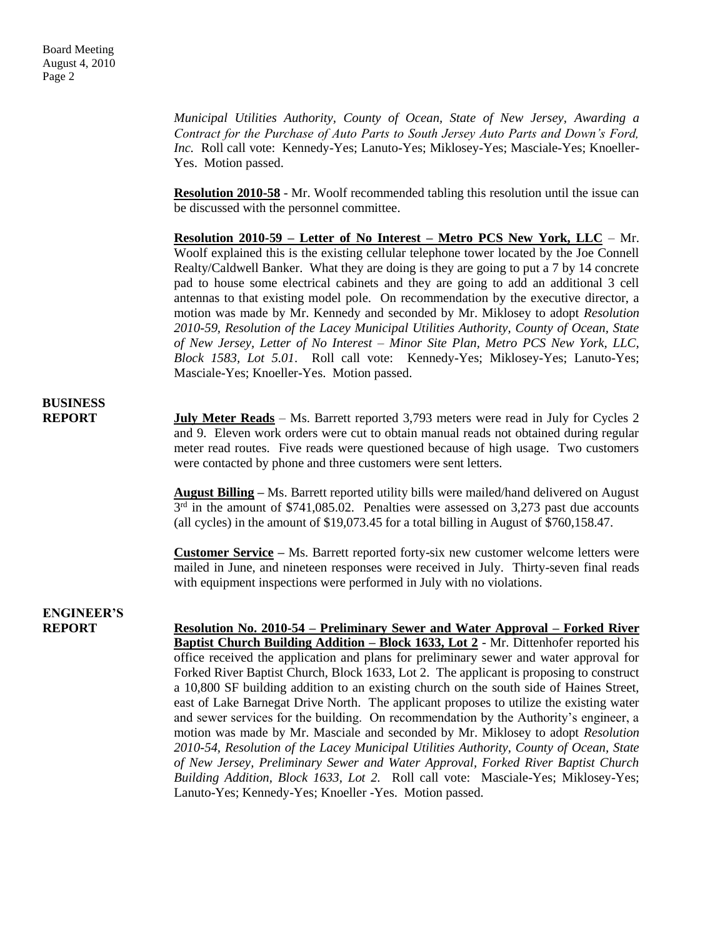*Municipal Utilities Authority, County of Ocean, State of New Jersey, Awarding a Contract for the Purchase of Auto Parts to South Jersey Auto Parts and Down's Ford, Inc.* Roll call vote: Kennedy-Yes; Lanuto-Yes; Miklosey-Yes; Masciale-Yes; Knoeller-Yes. Motion passed.

**Resolution 2010-58** - Mr. Woolf recommended tabling this resolution until the issue can be discussed with the personnel committee.

**Resolution 2010-59 – Letter of No Interest – Metro PCS New York, LLC** – Mr. Woolf explained this is the existing cellular telephone tower located by the Joe Connell Realty/Caldwell Banker. What they are doing is they are going to put a 7 by 14 concrete pad to house some electrical cabinets and they are going to add an additional 3 cell antennas to that existing model pole. On recommendation by the executive director, a motion was made by Mr. Kennedy and seconded by Mr. Miklosey to adopt *Resolution 2010-59, Resolution of the Lacey Municipal Utilities Authority, County of Ocean, State of New Jersey, Letter of No Interest – Minor Site Plan, Metro PCS New York, LLC, Block 1583, Lot 5.01*. Roll call vote: Kennedy-Yes; Miklosey-Yes; Lanuto-Yes; Masciale-Yes; Knoeller-Yes. Motion passed.

### **BUSINESS**

**REPORT July Meter Reads** – Ms. Barrett reported 3,793 meters were read in July for Cycles 2 and 9. Eleven work orders were cut to obtain manual reads not obtained during regular meter read routes. Five reads were questioned because of high usage. Two customers were contacted by phone and three customers were sent letters.

> **August Billing –** Ms. Barrett reported utility bills were mailed/hand delivered on August  $3<sup>rd</sup>$  in the amount of \$741,085.02. Penalties were assessed on 3,273 past due accounts (all cycles) in the amount of \$19,073.45 for a total billing in August of \$760,158.47.

> **Customer Service –** Ms. Barrett reported forty-six new customer welcome letters were mailed in June, and nineteen responses were received in July. Thirty-seven final reads with equipment inspections were performed in July with no violations.

# **ENGINEER'S**

**REPORT Resolution No. 2010-54 – Preliminary Sewer and Water Approval – Forked River Baptist Church Building Addition – Block 1633, Lot 2** - Mr. Dittenhofer reported his office received the application and plans for preliminary sewer and water approval for Forked River Baptist Church, Block 1633, Lot 2. The applicant is proposing to construct a 10,800 SF building addition to an existing church on the south side of Haines Street, east of Lake Barnegat Drive North. The applicant proposes to utilize the existing water and sewer services for the building. On recommendation by the Authority's engineer, a motion was made by Mr. Masciale and seconded by Mr. Miklosey to adopt *Resolution 2010-54, Resolution of the Lacey Municipal Utilities Authority, County of Ocean, State of New Jersey, Preliminary Sewer and Water Approval, Forked River Baptist Church Building Addition, Block 1633, Lot 2.* Roll call vote: Masciale-Yes; Miklosey-Yes; Lanuto-Yes; Kennedy-Yes; Knoeller -Yes. Motion passed.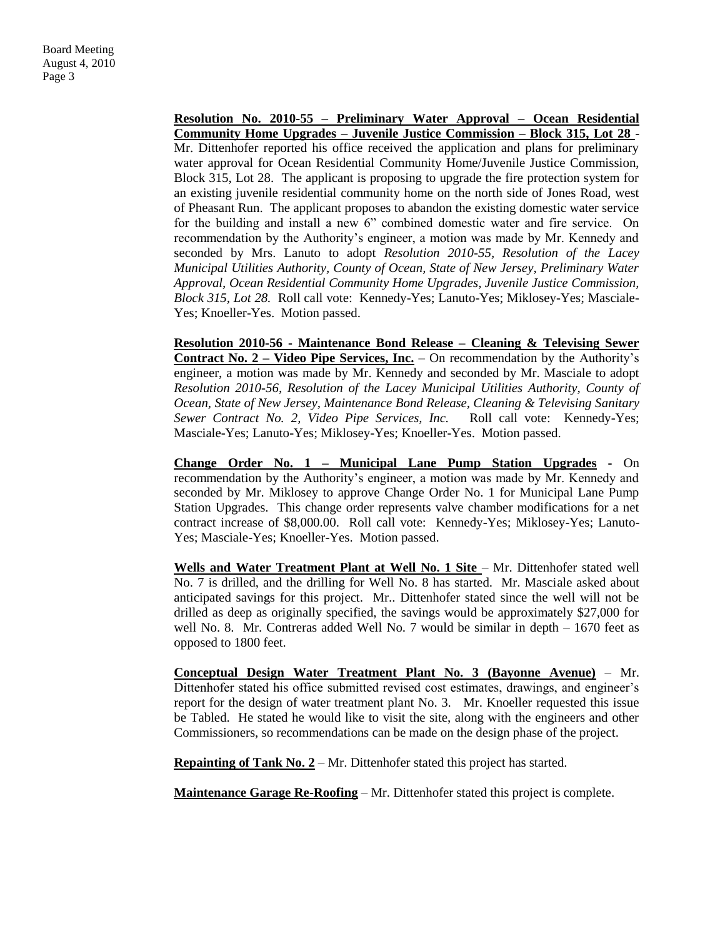**Resolution No. 2010-55 – Preliminary Water Approval – Ocean Residential Community Home Upgrades – Juvenile Justice Commission – Block 315, Lot 28** - Mr. Dittenhofer reported his office received the application and plans for preliminary water approval for Ocean Residential Community Home/Juvenile Justice Commission, Block 315, Lot 28. The applicant is proposing to upgrade the fire protection system for an existing juvenile residential community home on the north side of Jones Road, west of Pheasant Run. The applicant proposes to abandon the existing domestic water service for the building and install a new 6" combined domestic water and fire service. On recommendation by the Authority's engineer, a motion was made by Mr. Kennedy and seconded by Mrs. Lanuto to adopt *Resolution 2010-55, Resolution of the Lacey Municipal Utilities Authority, County of Ocean, State of New Jersey, Preliminary Water Approval, Ocean Residential Community Home Upgrades, Juvenile Justice Commission, Block 315, Lot 28.* Roll call vote: Kennedy-Yes; Lanuto-Yes; Miklosey-Yes; Masciale-Yes; Knoeller-Yes. Motion passed.

**Resolution 2010-56 - Maintenance Bond Release – Cleaning & Televising Sewer Contract No. 2 – Video Pipe Services, Inc.** – On recommendation by the Authority's engineer, a motion was made by Mr. Kennedy and seconded by Mr. Masciale to adopt *Resolution 2010-56, Resolution of the Lacey Municipal Utilities Authority, County of Ocean, State of New Jersey, Maintenance Bond Release, Cleaning & Televising Sanitary Sewer Contract No. 2, Video Pipe Services, Inc.* Roll call vote: Kennedy-Yes; Masciale-Yes; Lanuto-Yes; Miklosey-Yes; Knoeller-Yes. Motion passed.

**Change Order No. 1 – Municipal Lane Pump Station Upgrades -** On recommendation by the Authority's engineer, a motion was made by Mr. Kennedy and seconded by Mr. Miklosey to approve Change Order No. 1 for Municipal Lane Pump Station Upgrades. This change order represents valve chamber modifications for a net contract increase of \$8,000.00. Roll call vote: Kennedy-Yes; Miklosey-Yes; Lanuto-Yes; Masciale-Yes; Knoeller-Yes. Motion passed.

Wells and Water Treatment Plant at Well No. 1 Site - Mr. Dittenhofer stated well No. 7 is drilled, and the drilling for Well No. 8 has started. Mr. Masciale asked about anticipated savings for this project. Mr.. Dittenhofer stated since the well will not be drilled as deep as originally specified, the savings would be approximately \$27,000 for well No. 8. Mr. Contreras added Well No. 7 would be similar in depth – 1670 feet as opposed to 1800 feet.

**Conceptual Design Water Treatment Plant No. 3 (Bayonne Avenue)** – Mr. Dittenhofer stated his office submitted revised cost estimates, drawings, and engineer's report for the design of water treatment plant No. 3. Mr. Knoeller requested this issue be Tabled. He stated he would like to visit the site, along with the engineers and other Commissioners, so recommendations can be made on the design phase of the project.

**Repainting of Tank No. 2** – Mr. Dittenhofer stated this project has started.

**Maintenance Garage Re-Roofing** – Mr. Dittenhofer stated this project is complete.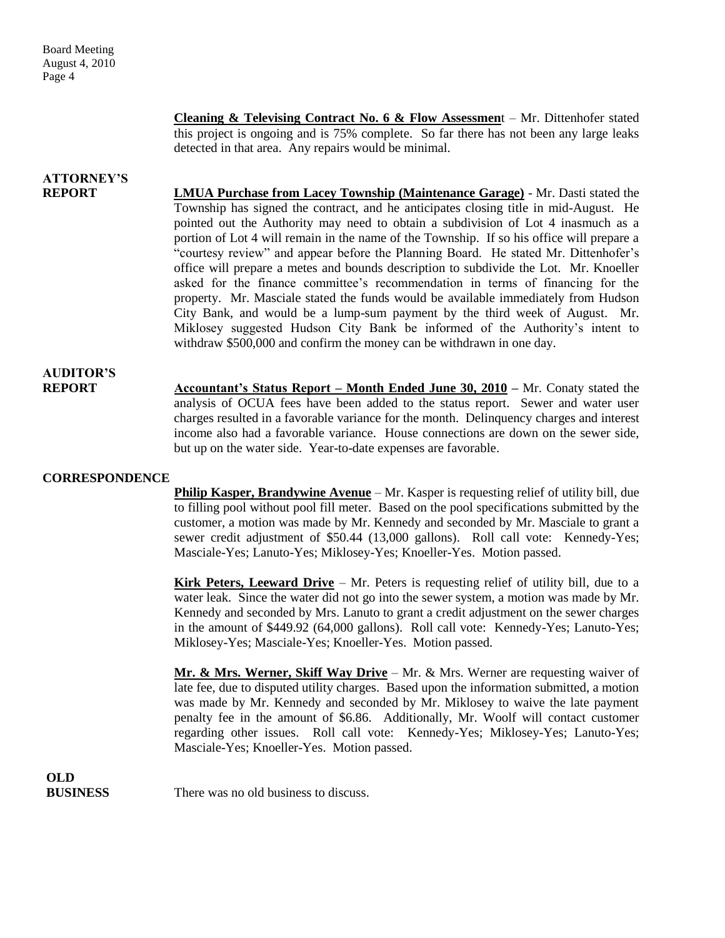**Cleaning & Televising Contract No. 6 & Flow Assessmen**t – Mr. Dittenhofer stated this project is ongoing and is 75% complete. So far there has not been any large leaks detected in that area. Any repairs would be minimal.

## **ATTORNEY'S**

**REPORT LMUA Purchase from Lacey Township (Maintenance Garage)** - Mr. Dasti stated the Township has signed the contract, and he anticipates closing title in mid-August. He pointed out the Authority may need to obtain a subdivision of Lot 4 inasmuch as a portion of Lot 4 will remain in the name of the Township. If so his office will prepare a "courtesy review" and appear before the Planning Board. He stated Mr. Dittenhofer's office will prepare a metes and bounds description to subdivide the Lot. Mr. Knoeller asked for the finance committee's recommendation in terms of financing for the property. Mr. Masciale stated the funds would be available immediately from Hudson City Bank, and would be a lump-sum payment by the third week of August. Mr. Miklosey suggested Hudson City Bank be informed of the Authority's intent to withdraw \$500,000 and confirm the money can be withdrawn in one day.

## **AUDITOR'S**

**REPORT Accountant's Status Report – Month Ended June 30, 2010 –** Mr. Conaty stated the analysis of OCUA fees have been added to the status report. Sewer and water user charges resulted in a favorable variance for the month. Delinquency charges and interest income also had a favorable variance. House connections are down on the sewer side, but up on the water side. Year-to-date expenses are favorable.

### **CORRESPONDENCE**

**Philip Kasper, Brandywine Avenue** – Mr. Kasper is requesting relief of utility bill, due to filling pool without pool fill meter. Based on the pool specifications submitted by the customer, a motion was made by Mr. Kennedy and seconded by Mr. Masciale to grant a sewer credit adjustment of \$50.44 (13,000 gallons). Roll call vote: Kennedy-Yes; Masciale-Yes; Lanuto-Yes; Miklosey-Yes; Knoeller-Yes. Motion passed.

**Kirk Peters, Leeward Drive** – Mr. Peters is requesting relief of utility bill, due to a water leak. Since the water did not go into the sewer system, a motion was made by Mr. Kennedy and seconded by Mrs. Lanuto to grant a credit adjustment on the sewer charges in the amount of \$449.92 (64,000 gallons). Roll call vote: Kennedy-Yes; Lanuto-Yes; Miklosey-Yes; Masciale-Yes; Knoeller-Yes. Motion passed.

**Mr. & Mrs. Werner, Skiff Way Drive** – Mr. & Mrs. Werner are requesting waiver of late fee, due to disputed utility charges. Based upon the information submitted, a motion was made by Mr. Kennedy and seconded by Mr. Miklosey to waive the late payment penalty fee in the amount of \$6.86. Additionally, Mr. Woolf will contact customer regarding other issues. Roll call vote: Kennedy-Yes; Miklosey-Yes; Lanuto-Yes; Masciale-Yes; Knoeller-Yes. Motion passed.

**OLD**

**BUSINESS** There was no old business to discuss.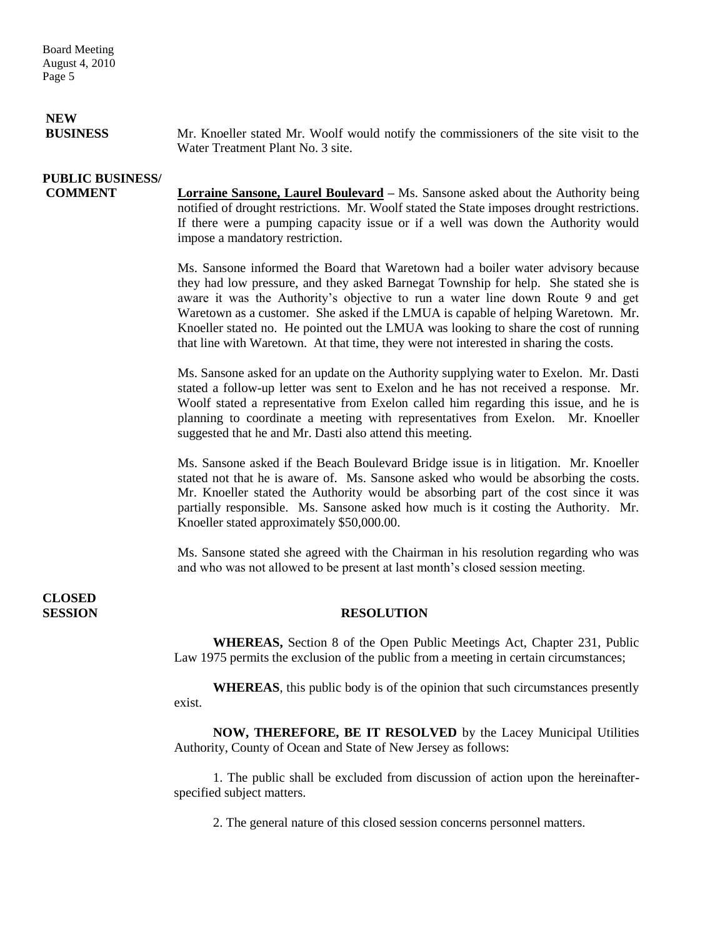# **NEW**

**BUSINESS** Mr. Knoeller stated Mr. Woolf would notify the commissioners of the site visit to the Water Treatment Plant No. 3 site.

## **PUBLIC BUSINESS/**

**COMMENT Lorraine Sansone, Laurel Boulevard –** Ms. Sansone asked about the Authority being notified of drought restrictions. Mr. Woolf stated the State imposes drought restrictions. If there were a pumping capacity issue or if a well was down the Authority would impose a mandatory restriction.

> Ms. Sansone informed the Board that Waretown had a boiler water advisory because they had low pressure, and they asked Barnegat Township for help. She stated she is aware it was the Authority's objective to run a water line down Route 9 and get Waretown as a customer. She asked if the LMUA is capable of helping Waretown. Mr. Knoeller stated no. He pointed out the LMUA was looking to share the cost of running that line with Waretown. At that time, they were not interested in sharing the costs.

> Ms. Sansone asked for an update on the Authority supplying water to Exelon. Mr. Dasti stated a follow-up letter was sent to Exelon and he has not received a response. Mr. Woolf stated a representative from Exelon called him regarding this issue, and he is planning to coordinate a meeting with representatives from Exelon. Mr. Knoeller suggested that he and Mr. Dasti also attend this meeting.

> Ms. Sansone asked if the Beach Boulevard Bridge issue is in litigation. Mr. Knoeller stated not that he is aware of. Ms. Sansone asked who would be absorbing the costs. Mr. Knoeller stated the Authority would be absorbing part of the cost since it was partially responsible. Ms. Sansone asked how much is it costing the Authority. Mr. Knoeller stated approximately \$50,000.00.

> Ms. Sansone stated she agreed with the Chairman in his resolution regarding who was and who was not allowed to be present at last month's closed session meeting.

**CLOSED** 

### **SESSION RESOLUTION**

**WHEREAS,** Section 8 of the Open Public Meetings Act, Chapter 231, Public Law 1975 permits the exclusion of the public from a meeting in certain circumstances;

**WHEREAS**, this public body is of the opinion that such circumstances presently exist.

**NOW, THEREFORE, BE IT RESOLVED** by the Lacey Municipal Utilities Authority, County of Ocean and State of New Jersey as follows:

1. The public shall be excluded from discussion of action upon the hereinafterspecified subject matters.

2. The general nature of this closed session concerns personnel matters.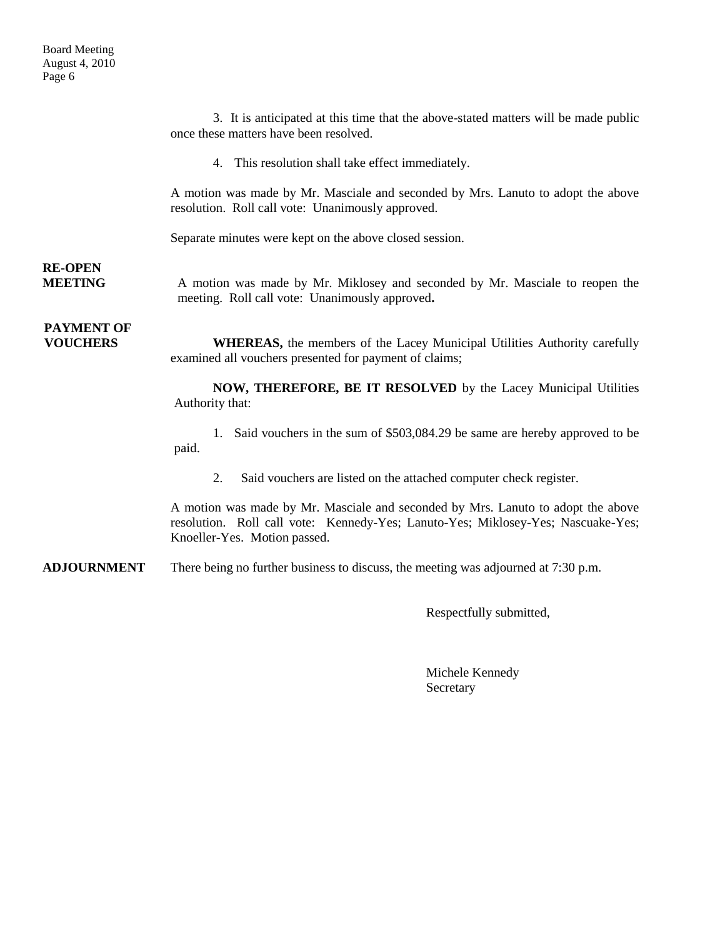3. It is anticipated at this time that the above-stated matters will be made public once these matters have been resolved.

4. This resolution shall take effect immediately.

A motion was made by Mr. Masciale and seconded by Mrs. Lanuto to adopt the above resolution. Roll call vote: Unanimously approved.

Separate minutes were kept on the above closed session.

## **RE-OPEN**

**MEETING** A motion was made by Mr. Miklosey and seconded by Mr. Masciale to reopen the meeting. Roll call vote: Unanimously approved**.**

# **PAYMENT OF**

**VOUCHERS** WHEREAS, the members of the Lacey Municipal Utilities Authority carefully examined all vouchers presented for payment of claims;

> **NOW, THEREFORE, BE IT RESOLVED** by the Lacey Municipal Utilities Authority that:

> 1. Said vouchers in the sum of \$503,084.29 be same are hereby approved to be paid.

2. Said vouchers are listed on the attached computer check register.

A motion was made by Mr. Masciale and seconded by Mrs. Lanuto to adopt the above resolution. Roll call vote: Kennedy-Yes; Lanuto-Yes; Miklosey-Yes; Nascuake-Yes; Knoeller-Yes. Motion passed.

**ADJOURNMENT** There being no further business to discuss, the meeting was adjourned at 7:30 p.m.

Respectfully submitted,

Michele Kennedy Secretary